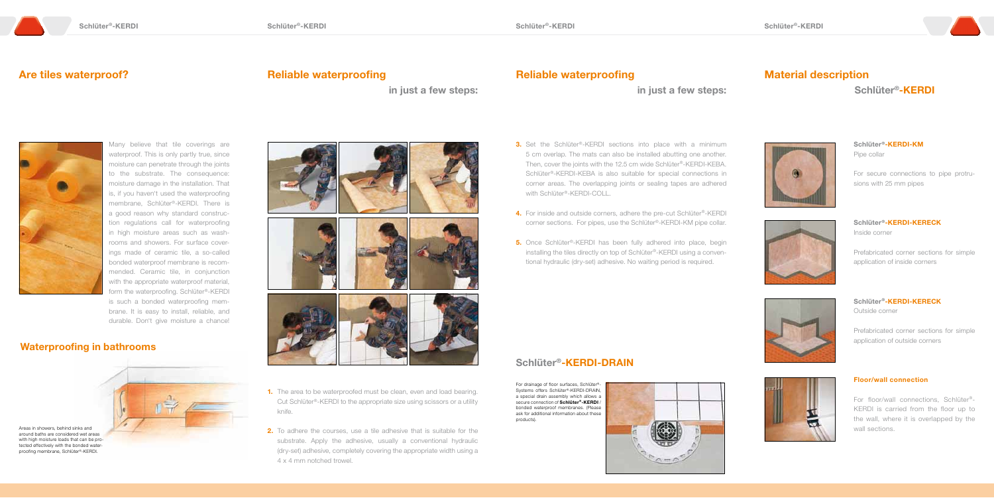in just a few steps:

- **1.** The area to be waterproofed must be clean, even and load bearing. Cut Schlüter®-KERDI to the appropriate size using scissors or a utility knife.
- **2.** To adhere the courses, use a tile adhesive that is suitable for the substrate. Apply the adhesive, usually a conventional hydraulic (dry-set) adhesive, completely covering the appropriate width using a 4 x 4 mm notched trowel.

#### **3.** Set the Schlüter®-KERDI sections into place with a minimum 5 cm overlap. The mats can also be installed abutting one another. Then, cover the joints with the 12.5 cm wide Schlüter®-KERDI-KEBA. Schlüter®-KERDI-KEBA is also suitable for special connections in corner areas. The overlapping joints or sealing tapes are adhered with Schlüter®-KERDI-COLL.

- 4. For inside and outside corners, adhere the pre-cut Schlüter®-KERDI corner sections. For pipes, use the Schlüter®-KERDI-KM pipe collar.
- **5.** Once Schlüter®-KERDI has been fully adhered into place, begin installing the tiles directly on top of Schlüter®-KERDI using a conventional hydraulic (dry-set) adhesive. No waiting period is required.

# Material description Schlüter®-KERDI



### Are tiles waterproof? The Contract of the Reliable waterproofing

### Reliable waterproofing

in just a few steps:



Many believe that tile coverings are waterproof. This is only partly true, since moisture can penetrate through the joints to the substrate. The consequence: moisture damage in the installation. That is, if you haven't used the waterproofing membrane, Schlüter®-KERDI. There is a good reason why standard construction regulations call for waterproofing in high moisture areas such as washrooms and showers. For surface coverings made of ceramic tile, a so-called bonded waterproof membrane is recommended. Ceramic tile, in conjunction with the appropriate waterproof material, form the waterproofing. Schlüter®-KERDI is such a bonded waterproofing membrane. It is easy to install, reliable, and durable. Don't give moisture a chance!

### Waterproofing in bathrooms



Areas in showers, behind sinks and around baths are considered wet areas with high moisture loads that can be protected effectively with the bonded waterproofing membrane, Schlüter®-KERDI.



### Schlüter®-KERDI-DRAIN

For drainage of floor surfaces, Schlüter®- Systems offers Schlüter®-KERDI-DRAIN, a special drain assembly which allows a secure connection of Schlüter®-KERDI / bonded waterproof membranes. (Please ask for additional information about these products).





Schlüter®-KERDI-KM Pipe collar

For secure connections to pipe protrusions with 25 mm pipes



Schlüter®-KERDI-KERECK Inside corner

Prefabricated corner sections for simple application of inside corners



Schlüter®-KERDI-KERECK Outside corner

Prefabricated corner sections for simple application of outside corners



#### Floor/wall connection

For floor/wall connections, Schlüter®- KERDI is carried from the floor up to the wall, where it is overlapped by the wall sections.